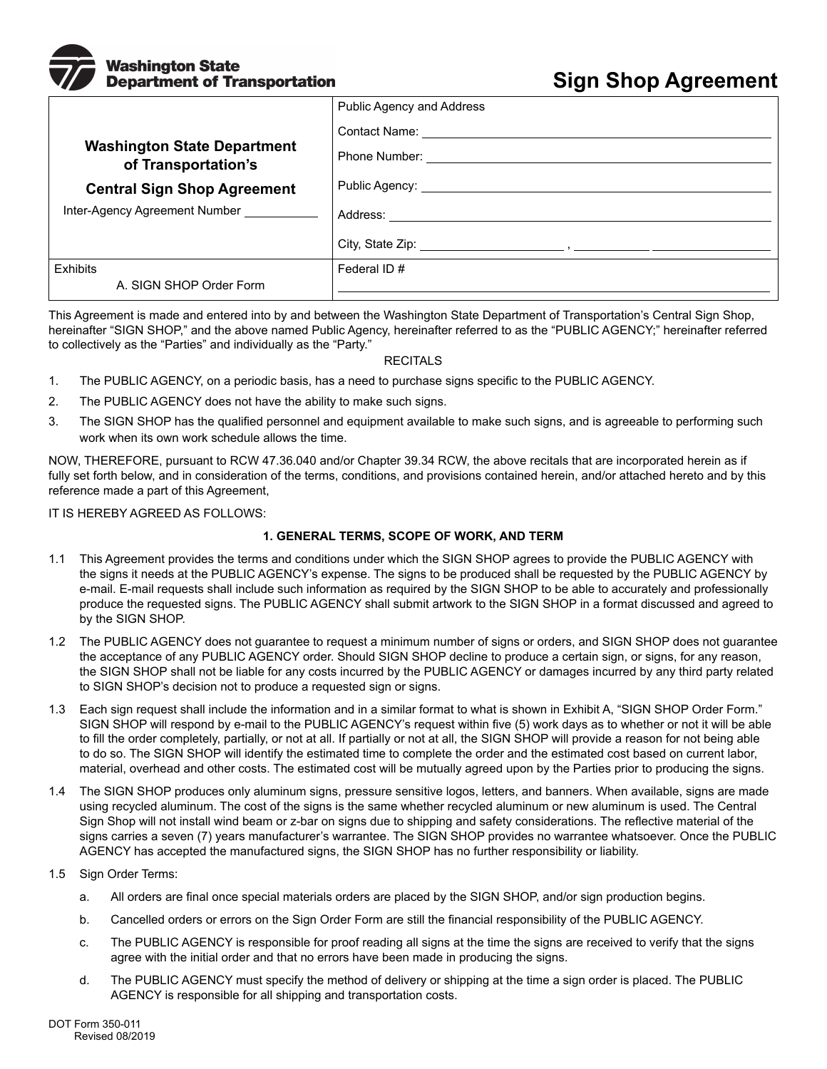# **Nashington State Department of Transportation**

# **Sign Shop Agreement**

| <b>Public Agency and Address</b>                                                                                                                                                                                                     |
|--------------------------------------------------------------------------------------------------------------------------------------------------------------------------------------------------------------------------------------|
| Contact Name: <u>Contact Of Contact Of Contact Of Contact Of Contact Of Contact Of Contact Of Contact Of Contact Of Contact Of Contact Of Contact Of Contact Of Contact Of Contact Of Contact Of Contact Of Contact Of Contact O</u> |
|                                                                                                                                                                                                                                      |
| Public Agency: <u>__________________________________</u>                                                                                                                                                                             |
|                                                                                                                                                                                                                                      |
|                                                                                                                                                                                                                                      |
| Federal ID#                                                                                                                                                                                                                          |
|                                                                                                                                                                                                                                      |
|                                                                                                                                                                                                                                      |

This Agreement is made and entered into by and between the Washington State Department of Transportation's Central Sign Shop, hereinafter "SIGN SHOP," and the above named Public Agency, hereinafter referred to as the "PUBLIC AGENCY;" hereinafter referred to collectively as the "Parties" and individually as the "Party."

## **RECITALS**

- 1. The PUBLIC AGENCY, on a periodic basis, has a need to purchase signs specific to the PUBLIC AGENCY.
- 2. The PUBLIC AGENCY does not have the ability to make such signs.
- 3. The SIGN SHOP has the qualified personnel and equipment available to make such signs, and is agreeable to performing such work when its own work schedule allows the time.

NOW, THEREFORE, pursuant to RCW 47.36.040 and/or Chapter 39.34 RCW, the above recitals that are incorporated herein as if fully set forth below, and in consideration of the terms, conditions, and provisions contained herein, and/or attached hereto and by this reference made a part of this Agreement,

IT IS HEREBY AGREED AS FOLLOWS:

## **1. GENERAL TERMS, SCOPE OF WORK, AND TERM**

- 1.1 This Agreement provides the terms and conditions under which the SIGN SHOP agrees to provide the PUBLIC AGENCY with the signs it needs at the PUBLIC AGENCY's expense. The signs to be produced shall be requested by the PUBLIC AGENCY by e-mail. E-mail requests shall include such information as required by the SIGN SHOP to be able to accurately and professionally produce the requested signs. The PUBLIC AGENCY shall submit artwork to the SIGN SHOP in a format discussed and agreed to by the SIGN SHOP.
- 1.2 The PUBLIC AGENCY does not guarantee to request a minimum number of signs or orders, and SIGN SHOP does not guarantee the acceptance of any PUBLIC AGENCY order. Should SIGN SHOP decline to produce a certain sign, or signs, for any reason, the SIGN SHOP shall not be liable for any costs incurred by the PUBLIC AGENCY or damages incurred by any third party related to SIGN SHOP's decision not to produce a requested sign or signs.
- 1.3 Each sign request shall include the information and in a similar format to what is shown in Exhibit A, "SIGN SHOP Order Form." SIGN SHOP will respond by e-mail to the PUBLIC AGENCY's request within five (5) work days as to whether or not it will be able to fill the order completely, partially, or not at all. If partially or not at all, the SIGN SHOP will provide a reason for not being able to do so. The SIGN SHOP will identify the estimated time to complete the order and the estimated cost based on current labor, material, overhead and other costs. The estimated cost will be mutually agreed upon by the Parties prior to producing the signs.
- 1.4 The SIGN SHOP produces only aluminum signs, pressure sensitive logos, letters, and banners. When available, signs are made using recycled aluminum. The cost of the signs is the same whether recycled aluminum or new aluminum is used. The Central Sign Shop will not install wind beam or z-bar on signs due to shipping and safety considerations. The reflective material of the signs carries a seven (7) years manufacturer's warrantee. The SIGN SHOP provides no warrantee whatsoever. Once the PUBLIC AGENCY has accepted the manufactured signs, the SIGN SHOP has no further responsibility or liability.
- 1.5 Sign Order Terms:
	- a. All orders are final once special materials orders are placed by the SIGN SHOP, and/or sign production begins.
	- b. Cancelled orders or errors on the Sign Order Form are still the financial responsibility of the PUBLIC AGENCY.
	- c. The PUBLIC AGENCY is responsible for proof reading all signs at the time the signs are received to verify that the signs agree with the initial order and that no errors have been made in producing the signs.
	- d. The PUBLIC AGENCY must specify the method of delivery or shipping at the time a sign order is placed. The PUBLIC AGENCY is responsible for all shipping and transportation costs.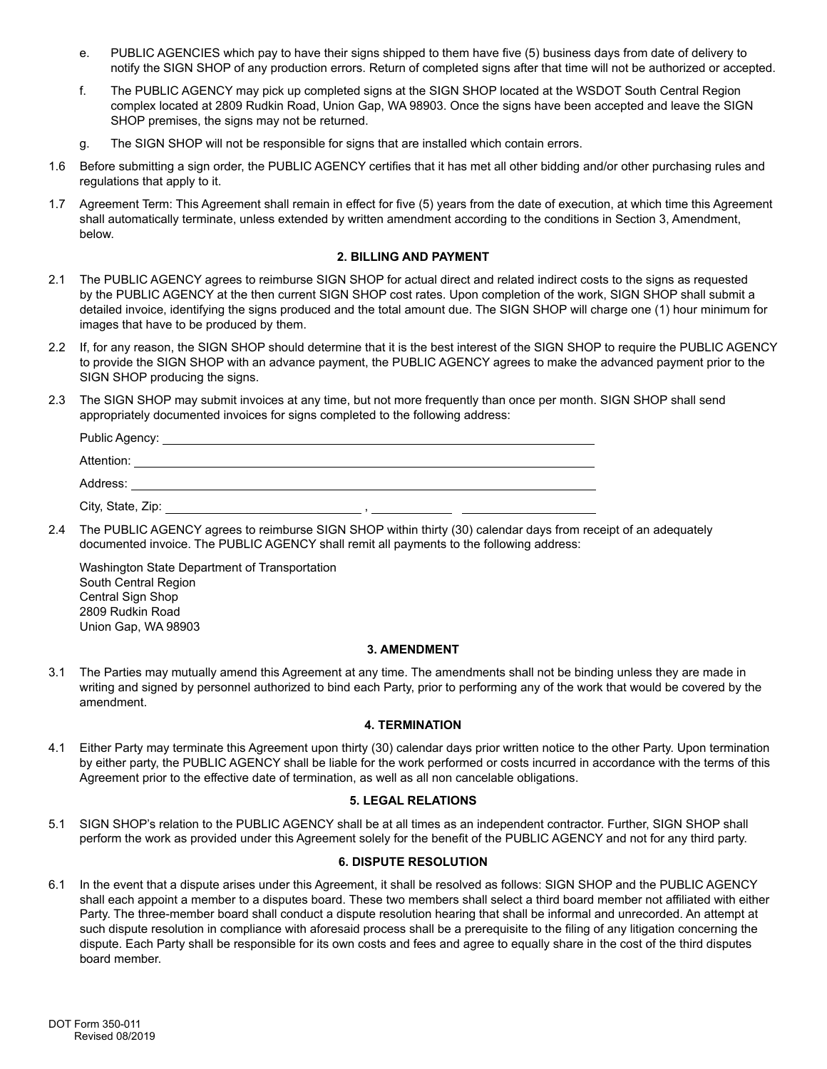- e. PUBLIC AGENCIES which pay to have their signs shipped to them have five (5) business days from date of delivery to notify the SIGN SHOP of any production errors. Return of completed signs after that time will not be authorized or accepted.
- f. The PUBLIC AGENCY may pick up completed signs at the SIGN SHOP located at the WSDOT South Central Region complex located at 2809 Rudkin Road, Union Gap, WA 98903. Once the signs have been accepted and leave the SIGN SHOP premises, the signs may not be returned.
- g. The SIGN SHOP will not be responsible for signs that are installed which contain errors.
- 1.6 Before submitting a sign order, the PUBLIC AGENCY certifies that it has met all other bidding and/or other purchasing rules and regulations that apply to it.
- 1.7 Agreement Term: This Agreement shall remain in effect for five (5) years from the date of execution, at which time this Agreement shall automatically terminate, unless extended by written amendment according to the conditions in Section 3, Amendment, below.

### **2. BILLING AND PAYMENT**

- 2.1 The PUBLIC AGENCY agrees to reimburse SIGN SHOP for actual direct and related indirect costs to the signs as requested by the PUBLIC AGENCY at the then current SIGN SHOP cost rates. Upon completion of the work, SIGN SHOP shall submit a detailed invoice, identifying the signs produced and the total amount due. The SIGN SHOP will charge one (1) hour minimum for images that have to be produced by them.
- 2.2 If, for any reason, the SIGN SHOP should determine that it is the best interest of the SIGN SHOP to require the PUBLIC AGENCY to provide the SIGN SHOP with an advance payment, the PUBLIC AGENCY agrees to make the advanced payment prior to the SIGN SHOP producing the signs.
- 2.3 The SIGN SHOP may submit invoices at any time, but not more frequently than once per month. SIGN SHOP shall send appropriately documented invoices for signs completed to the following address:

| Public Agency:    |  |
|-------------------|--|
| Attention:        |  |
| Address:          |  |
| City, State, Zip: |  |

2.4 The PUBLIC AGENCY agrees to reimburse SIGN SHOP within thirty (30) calendar days from receipt of an adequately documented invoice. The PUBLIC AGENCY shall remit all payments to the following address:

Washington State Department of Transportation South Central Region Central Sign Shop 2809 Rudkin Road Union Gap, WA 98903

#### **3. AMENDMENT**

3.1 The Parties may mutually amend this Agreement at any time. The amendments shall not be binding unless they are made in writing and signed by personnel authorized to bind each Party, prior to performing any of the work that would be covered by the amendment.

#### **4. TERMINATION**

4.1 Either Party may terminate this Agreement upon thirty (30) calendar days prior written notice to the other Party. Upon termination by either party, the PUBLIC AGENCY shall be liable for the work performed or costs incurred in accordance with the terms of this Agreement prior to the effective date of termination, as well as all non cancelable obligations.

#### **5. LEGAL RELATIONS**

5.1 SIGN SHOP's relation to the PUBLIC AGENCY shall be at all times as an independent contractor. Further, SIGN SHOP shall perform the work as provided under this Agreement solely for the benefit of the PUBLIC AGENCY and not for any third party.

#### **6. DISPUTE RESOLUTION**

6.1 In the event that a dispute arises under this Agreement, it shall be resolved as follows: SIGN SHOP and the PUBLIC AGENCY shall each appoint a member to a disputes board. These two members shall select a third board member not affiliated with either Party. The three-member board shall conduct a dispute resolution hearing that shall be informal and unrecorded. An attempt at such dispute resolution in compliance with aforesaid process shall be a prerequisite to the filing of any litigation concerning the dispute. Each Party shall be responsible for its own costs and fees and agree to equally share in the cost of the third disputes board member.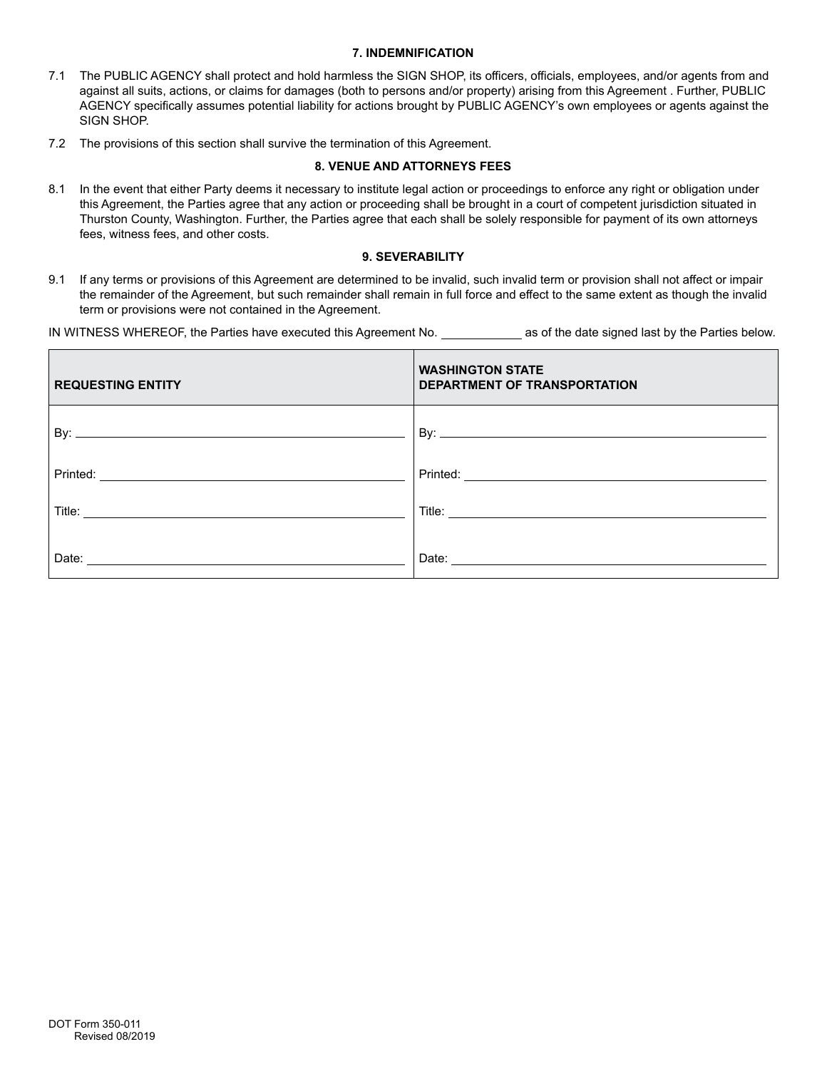#### **7. INDEMNIFICATION**

- 7.1 The PUBLIC AGENCY shall protect and hold harmless the SIGN SHOP, its officers, officials, employees, and/or agents from and against all suits, actions, or claims for damages (both to persons and/or property) arising from this Agreement . Further, PUBLIC AGENCY specifically assumes potential liability for actions brought by PUBLIC AGENCY's own employees or agents against the SIGN SHOP.
- 7.2 The provisions of this section shall survive the termination of this Agreement.

#### **8. VENUE AND ATTORNEYS FEES**

8.1 In the event that either Party deems it necessary to institute legal action or proceedings to enforce any right or obligation under this Agreement, the Parties agree that any action or proceeding shall be brought in a court of competent jurisdiction situated in Thurston County, Washington. Further, the Parties agree that each shall be solely responsible for payment of its own attorneys fees, witness fees, and other costs.

#### **9. SEVERABILITY**

9.1 If any terms or provisions of this Agreement are determined to be invalid, such invalid term or provision shall not affect or impair the remainder of the Agreement, but such remainder shall remain in full force and effect to the same extent as though the invalid term or provisions were not contained in the Agreement.

IN WITNESS WHEREOF, the Parties have executed this Agreement No. \_\_\_\_\_\_\_\_\_\_\_\_\_ as of the date signed last by the Parties below.

| <b>REQUESTING ENTITY</b> | <b>WASHINGTON STATE</b><br>DEPARTMENT OF TRANSPORTATION |
|--------------------------|---------------------------------------------------------|
|                          |                                                         |
| Printed:                 | Printed:                                                |
| Title:                   |                                                         |
| Date:                    | Date:                                                   |